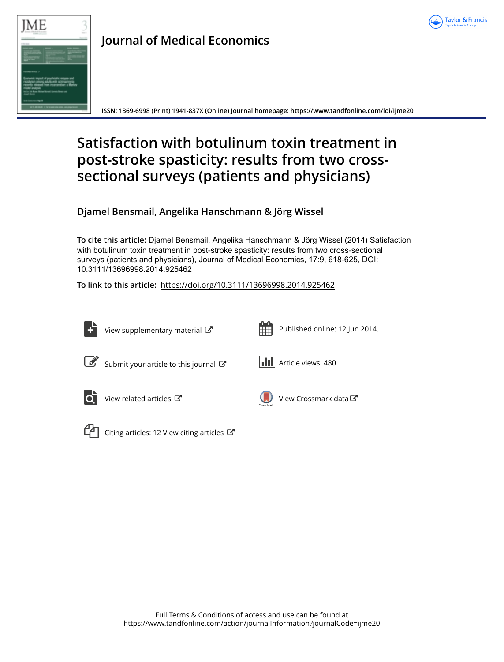



# **Journal of Medical Economics**

**ISSN: 1369-6998 (Print) 1941-837X (Online) Journal homepage: <https://www.tandfonline.com/loi/ijme20>**

# **Satisfaction with botulinum toxin treatment in post-stroke spasticity: results from two crosssectional surveys (patients and physicians)**

**Djamel Bensmail, Angelika Hanschmann & Jörg Wissel**

**To cite this article:** Djamel Bensmail, Angelika Hanschmann & Jörg Wissel (2014) Satisfaction with botulinum toxin treatment in post-stroke spasticity: results from two cross-sectional surveys (patients and physicians), Journal of Medical Economics, 17:9, 618-625, DOI: [10.3111/13696998.2014.925462](https://www.tandfonline.com/action/showCitFormats?doi=10.3111/13696998.2014.925462)

**To link to this article:** <https://doi.org/10.3111/13696998.2014.925462>

| View supplementary material C                                | Published online: 12 Jun 2014.<br>酣           |
|--------------------------------------------------------------|-----------------------------------------------|
| $\boxed{\mathscr{A}}$<br>Submit your article to this journal | <b>III</b> Article views: 480                 |
| View related articles C                                      | View Crossmark data <sup>C</sup><br>CrossMark |
| Citing articles: 12 View citing articles $\mathbb{Z}$        |                                               |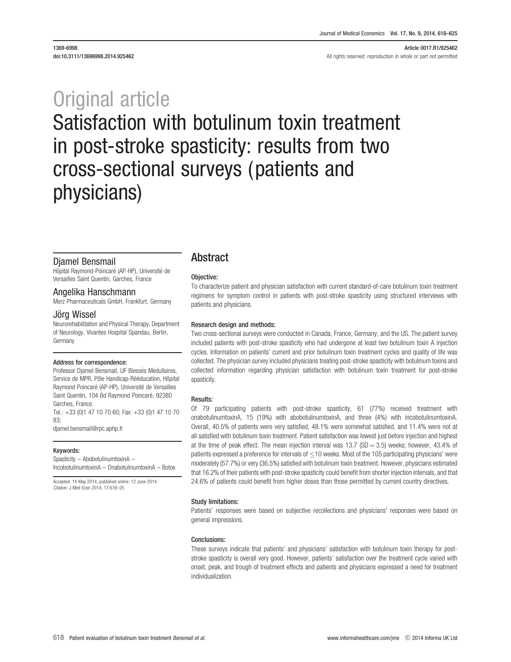#### 1369-6998 Article 0017.R1/925462 doi:10.3111/13696998.2014.925462 **All rights reserved: reproduction in whole or part not permitted**

# Original article Satisfaction with botulinum toxin treatment in post-stroke spasticity: results from two cross-sectional surveys (patients and physicians)

#### Djamel Bensmail

Hôpital Raymond-Poincaré (AP-HP), Université de Versailles Saint Quentin, Garches, France

#### Angelika Hanschmann

Merz Pharmaceuticals GmbH, Frankfurt, Germany

#### Jörg Wissel

Neurorehabilitation and Physical Therapy, Department of Neurology, Vivantes Hospital Spandau, Berlin, Germany

#### Address for correspondence:

Professor Djamel Bensmail, UF Blessés Médullaires, Service de MPR, Pôle Handicap-Rééducation, Hôpital Raymond Poincaré (AP-HP), Université de Versailles Saint Quentin, 104 Bd Raymond Poincaré, 92380 Garches, France. Tel.: +33 (0)1 47 10 70 60; Fax: +33 (0)1 47 10 70  $83$ 

djamel.bensmail@rpc.aphp.fr

#### Keywords:

Spasticity – AbobotulinumtoxinA – IncobotulinumtoxinA – OnabotulinumtoxinA – Botox

Accepted: 14 May 2014; published online: 12 June 2014 Citation: J Med Econ 2014; 17:618–25

### Abstract

#### Objective:

To characterize patient and physician satisfaction with current standard-of-care botulinum toxin treatment regimens for symptom control in patients with post-stroke spasticity using structured interviews with patients and physicians.

#### Research design and methods:

Two cross-sectional surveys were conducted in Canada, France, Germany, and the US. The patient survey included patients with post-stroke spasticity who had undergone at least two botulinum toxin A injection cycles. Information on patients' current and prior botulinum toxin treatment cycles and quality of life was collected. The physician survey included physicians treating post-stroke spasticity with botulinum toxins and collected information regarding physician satisfaction with botulinum toxin treatment for post-stroke spasticity.

#### Results:

Of 79 participating patients with post-stroke spasticity, 61 (77%) received treatment with onabotulinumtoxinA, 15 (19%) with abobotulinumtoxinA, and three (4%) with incobotulinumtoxinA. Overall, 40.5% of patients were very satisfied, 48.1% were somewhat satisfied, and 11.4% were not at all satisfied with botulinum toxin treatment. Patient satisfaction was lowest just before injection and highest at the time of peak effect. The mean injection interval was 13.7 (SD = 3.5) weeks; however, 43.4% of patients expressed a preference for intervals of  $\leq$ 10 weeks. Most of the 105 participating physicians' were moderately (57.7%) or very (36.5%) satisfied with botulinum toxin treatment. However, physicians estimated that 16.2% of their patients with post-stroke spasticity could benefit from shorter injection intervals, and that 24.6% of patients could benefit from higher doses than those permitted by current country directives.

#### Study limitations:

Patients' responses were based on subjective recollections and physicians' responses were based on general impressions.

#### Conclusions:

These surveys indicate that patients' and physicians' satisfaction with botulinum toxin therapy for poststroke spasticity is overall very good. However, patients' satisfaction over the treatment cycle varied with onset, peak, and trough of treatment effects and patients and physicians expressed a need for treatment individualization.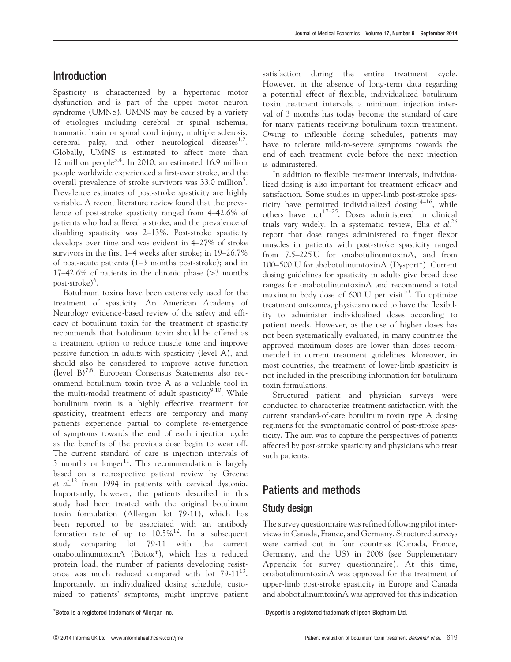# Introduction

Spasticity is characterized by a hypertonic motor dysfunction and is part of the upper motor neuron syndrome (UMNS). UMNS may be caused by a variety of etiologies including cerebral or spinal ischemia, traumatic brain or spinal cord injury, multiple sclerosis, cerebral palsy, and other neurological diseases $^{1,2}$  $^{1,2}$  $^{1,2}$ . Globally, UMNS is estimated to affect more than 12 million people<sup>[3,4](#page-7-0)</sup>. In 2010, an estimated 16.9 million people worldwide experienced a first-ever stroke, and the overall prevalence of stroke survivors was 33.0 million<sup>[5](#page-7-0)</sup>. Prevalence estimates of post-stroke spasticity are highly variable. A recent literature review found that the prevalence of post-stroke spasticity ranged from 4–42.6% of patients who had suffered a stroke, and the prevalence of disabling spasticity was 2–13%. Post-stroke spasticity develops over time and was evident in 4–27% of stroke survivors in the first 1–4 weeks after stroke; in 19–26.7% of post-acute patients (1–3 months post-stroke); and in  $17-42.6\%$  of patients in the chronic phase ( $>3$  months post-stroke)<sup>[6](#page-7-0)</sup>.

Botulinum toxins have been extensively used for the treatment of spasticity. An American Academy of Neurology evidence-based review of the safety and efficacy of botulinum toxin for the treatment of spasticity recommends that botulinum toxin should be offered as a treatment option to reduce muscle tone and improve passive function in adults with spasticity (level A), and should also be considered to improve active function (level  $B$ )<sup>7,8</sup>. European Consensus Statements also recommend botulinum toxin type A as a valuable tool in the multi-modal treatment of adult spasticity $9,10$ . While botulinum toxin is a highly effective treatment for spasticity, treatment effects are temporary and many patients experience partial to complete re-emergence of symptoms towards the end of each injection cycle as the benefits of the previous dose begin to wear off. The current standard of care is injection intervals of  $3$  months or longer<sup>[11](#page-7-0)</sup>. This recommendation is largely based on a retrospective patient review by Greene et al.<sup>[12](#page-7-0)</sup> from 1994 in patients with cervical dystonia. Importantly, however, the patients described in this study had been treated with the original botulinum toxin formulation (Allergan lot 79-11), which has been reported to be associated with an antibody formation rate of up to  $10.5\%$ <sup>[12](#page-7-0)</sup>. In a subsequent study comparing lot 79-11 with the current onabotulinumtoxinA (Botox\*), which has a reduced protein load, the number of patients developing resistance was much reduced compared with lot  $79-11^{13}$ . Importantly, an individualized dosing schedule, customized to patients' symptoms, might improve patient satisfaction during the entire treatment cycle. However, in the absence of long-term data regarding a potential effect of flexible, individualized botulinum toxin treatment intervals, a minimum injection interval of 3 months has today become the standard of care for many patients receiving botulinum toxin treatment. Owing to inflexible dosing schedules, patients may have to tolerate mild-to-severe symptoms towards the end of each treatment cycle before the next injection is administered.

In addition to flexible treatment intervals, individualized dosing is also important for treatment efficacy and satisfaction. Some studies in upper-limb post-stroke spasticity have permitted individualized dosing $14-16$ , while others have not<sup>17-25</sup>. Doses administered in clinical trials vary widely. In a systematic review, Elia et al.<sup>[26](#page-8-0)</sup> report that dose ranges administered to finger flexor muscles in patients with post-stroke spasticity ranged from 7.5–225 U for onabotulinumtoxinA, and from  $100-500$  U for abobotulinumtoxinA (Dysport $\dagger$ ). Current dosing guidelines for spasticity in adults give broad dose ranges for onabotulinumtoxinA and recommend a total maximum body dose of  $600$  U per visit<sup>[10](#page-7-0)</sup>. To optimize treatment outcomes, physicians need to have the flexibility to administer individualized doses according to patient needs. However, as the use of higher doses has not been systematically evaluated, in many countries the approved maximum doses are lower than doses recommended in current treatment guidelines. Moreover, in most countries, the treatment of lower-limb spasticity is not included in the prescribing information for botulinum toxin formulations.

Structured patient and physician surveys were conducted to characterize treatment satisfaction with the current standard-of-care botulinum toxin type A dosing regimens for the symptomatic control of post-stroke spasticity. The aim was to capture the perspectives of patients affected by post-stroke spasticity and physicians who treat such patients.

# Patients and methods

# Study design

The survey questionnaire was refined following pilot interviews in Canada, France, and Germany. Structured surveys were carried out in four countries (Canada, France, Germany, and the US) in 2008 (see Supplementary Appendix for survey questionnaire). At this time, onabotulinumtoxinA was approved for the treatment of upper-limb post-stroke spasticity in Europe and Canada and abobotulinumtoxinA was approved for this indication

<sup>\*</sup>Botox is a registered trademark of Allergan Inc.

<sup>+</sup>Dysport is a registered trademark of Ipsen Biopharm Ltd.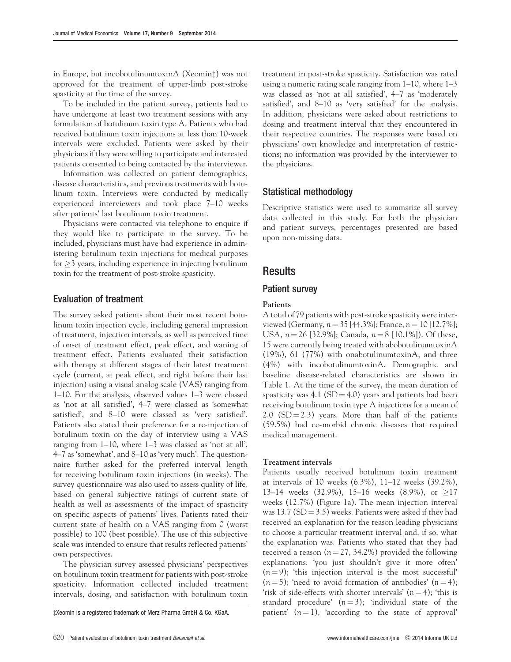in Europe, but incobotulinumtoxinA (Xeomin<sup>†</sup>) was not approved for the treatment of upper-limb post-stroke spasticity at the time of the survey.

To be included in the patient survey, patients had to have undergone at least two treatment sessions with any formulation of botulinum toxin type A. Patients who had received botulinum toxin injections at less than 10-week intervals were excluded. Patients were asked by their physicians if they were willing to participate and interested patients consented to being contacted by the interviewer.

Information was collected on patient demographics, disease characteristics, and previous treatments with botulinum toxin. Interviews were conducted by medically experienced interviewers and took place 7–10 weeks after patients' last botulinum toxin treatment.

Physicians were contacted via telephone to enquire if they would like to participate in the survey. To be included, physicians must have had experience in administering botulinum toxin injections for medical purposes for  $\geq$ 3 years, including experience in injecting botulinum toxin for the treatment of post-stroke spasticity.

#### Evaluation of treatment

The survey asked patients about their most recent botulinum toxin injection cycle, including general impression of treatment, injection intervals, as well as perceived time of onset of treatment effect, peak effect, and waning of treatment effect. Patients evaluated their satisfaction with therapy at different stages of their latest treatment cycle (current, at peak effect, and right before their last injection) using a visual analog scale (VAS) ranging from 1–10. For the analysis, observed values 1–3 were classed as 'not at all satisfied', 4–7 were classed as 'somewhat satisfied', and 8–10 were classed as 'very satisfied'. Patients also stated their preference for a re-injection of botulinum toxin on the day of interview using a VAS ranging from 1–10, where 1–3 was classed as 'not at all', 4–7 as 'somewhat', and 8–10 as 'very much'. The questionnaire further asked for the preferred interval length for receiving botulinum toxin injections (in weeks). The survey questionnaire was also used to assess quality of life, based on general subjective ratings of current state of health as well as assessments of the impact of spasticity on specific aspects of patients' lives. Patients rated their current state of health on a VAS ranging from 0 (worst possible) to 100 (best possible). The use of this subjective scale was intended to ensure that results reflected patients' own perspectives.

The physician survey assessed physicians' perspectives on botulinum toxin treatment for patients with post-stroke spasticity. Information collected included treatment intervals, dosing, and satisfaction with botulinum toxin

treatment in post-stroke spasticity. Satisfaction was rated using a numeric rating scale ranging from 1–10, where 1–3 was classed as 'not at all satisfied', 4–7 as 'moderately satisfied', and 8–10 as 'very satisfied' for the analysis. In addition, physicians were asked about restrictions to dosing and treatment interval that they encountered in their respective countries. The responses were based on physicians' own knowledge and interpretation of restrictions; no information was provided by the interviewer to the physicians.

#### Statistical methodology

Descriptive statistics were used to summarize all survey data collected in this study. For both the physician and patient surveys, percentages presented are based upon non-missing data.

#### **Results**

#### Patient survey

#### Patients

A total of 79 patients with post-stroke spasticity were interviewed (Germany,  $n = 35$  [44.3%]; France,  $n = 10$  [12.7%]; USA,  $n = 26$  [32.9%]; Canada,  $n = 8$  [10.1%]). Of these, 15 were currently being treated with abobotulinumtoxinA (19%), 61 (77%) with onabotulinumtoxinA, and three (4%) with incobotulinumtoxinA. Demographic and baseline disease-related characteristics are shown in [Table 1](#page-4-0). At the time of the survey, the mean duration of spasticity was  $4.1$  (SD =  $4.0$ ) years and patients had been receiving botulinum toxin type A injections for a mean of 2.0  $(SD = 2.3)$  years. More than half of the patients (59.5%) had co-morbid chronic diseases that required medical management.

#### Treatment intervals

Patients usually received botulinum toxin treatment at intervals of 10 weeks (6.3%), 11–12 weeks (39.2%), 13–14 weeks (32.9%), 15–16 weeks (8.9%), or  $\geq$ 17 weeks (12.7%) [\(Figure 1a](#page-4-0)). The mean injection interval was  $13.7$  (SD = 3.5) weeks. Patients were asked if they had received an explanation for the reason leading physicians to choose a particular treatment interval and, if so, what the explanation was. Patients who stated that they had received a reason ( $n = 27, 34.2\%$ ) provided the following explanations: 'you just shouldn't give it more often'  $(n = 9)$ ; 'this injection interval is the most successful'  $(n = 5)$ ; 'need to avoid formation of antibodies'  $(n = 4)$ ; 'risk of side-effects with shorter intervals'  $(n = 4)$ ; 'this is standard procedure'  $(n=3)$ ; 'individual state of the  $\sharp$ Xeomin is a registered trademark of Merz Pharma GmbH & Co. KGaA. patient'  $(n = 1)$ , 'according to the state of approval'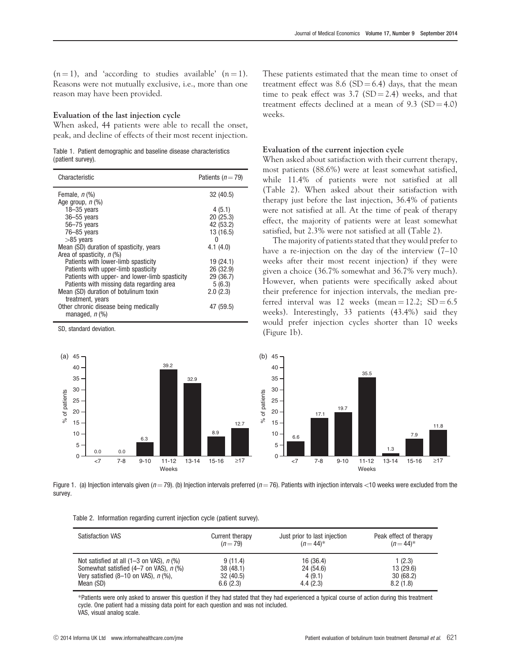<span id="page-4-0"></span> $(n = 1)$ , and 'according to studies available'  $(n = 1)$ . Reasons were not mutually exclusive, i.e., more than one reason may have been provided.

#### Evaluation of the last injection cycle

When asked, 44 patients were able to recall the onset, peak, and decline of effects of their most recent injection.

Table 1. Patient demographic and baseline disease characteristics (patient survey).

| Characteristic                                                 | Patients $(n=79)$ |
|----------------------------------------------------------------|-------------------|
| Female, $n$ $%$                                                | 32 (40.5)         |
| Age group, $n$ $\left(\% \right)$                              |                   |
| $18 - 35$ years                                                | 4(5.1)            |
| $36 - 55$ years                                                | 20(25.3)          |
| $56 - 75$ vears                                                | 42 (53.2)         |
| $76 - 85$ years                                                | 13 (16.5)         |
| $>85$ years                                                    | 0                 |
| Mean (SD) duration of spasticity, years                        | 4.1(4.0)          |
| Area of spasticity, n (%)                                      |                   |
| Patients with lower-limb spasticity                            | 19 (24.1)         |
| Patients with upper-limb spasticity                            | 26 (32.9)         |
| Patients with upper- and lower-limb spasticity                 | 29 (36.7)         |
| Patients with missing data regarding area                      | 5(6.3)            |
| Mean (SD) duration of botulinum toxin                          | 2.0(2.3)          |
| treatment, years                                               |                   |
| Other chronic disease being medically<br>managed, <i>n</i> (%) | 47 (59.5)         |
|                                                                |                   |

SD, standard deviation.

These patients estimated that the mean time to onset of treatment effect was 8.6 (SD = 6.4) days, that the mean time to peak effect was  $3.7$  (SD = 2.4) weeks, and that treatment effects declined at a mean of  $9.3$  (SD = 4.0) weeks.

#### Evaluation of the current injection cycle

When asked about satisfaction with their current therapy, most patients (88.6%) were at least somewhat satisfied, while 11.4% of patients were not satisfied at all (Table 2). When asked about their satisfaction with therapy just before the last injection, 36.4% of patients were not satisfied at all. At the time of peak of therapy effect, the majority of patients were at least somewhat satisfied, but 2.3% were not satisfied at all (Table 2).

The majority of patients stated that they would prefer to have a re-injection on the day of the interview (7–10 weeks after their most recent injection) if they were given a choice (36.7% somewhat and 36.7% very much). However, when patients were specifically asked about their preference for injection intervals, the median preferred interval was 12 weeks (mean  $= 12.2$ ; SD  $= 6.5$ ) weeks). Interestingly, 33 patients (43.4%) said they would prefer injection cycles shorter than 10 weeks (Figure 1b).



Figure 1. (a) Injection intervals given ( $n = 79$ ). (b) Injection intervals preferred ( $n = 76$ ). Patients with injection intervals <10 weeks were excluded from the survey.

|  |  | Table 2. Information regarding current injection cycle (patient survey). |  |  |  |  |  |  |
|--|--|--------------------------------------------------------------------------|--|--|--|--|--|--|
|--|--|--------------------------------------------------------------------------|--|--|--|--|--|--|

| <b>Satisfaction VAS</b>                             | Current therapy | Just prior to last injection | Peak effect of therapy |
|-----------------------------------------------------|-----------------|------------------------------|------------------------|
|                                                     | $(n=79)$        | $(n=44)^*$                   | $(n=44)^{*}$           |
| Not satisfied at all $(1-3$ on VAS), $n$ (%)        | 9(11.4)         | 16 (36.4)                    | 1(2.3)                 |
| Somewhat satisfied $(4-7)$ on VAS), $n$ (%)         | 38(48.1)        | 24 (54.6)                    | 13 (29.6)              |
| Very satisfied $(8-10$ on VAS), $n$ $\frac{9}{6}$ , | 32(40.5)        | 4(9.1)                       | 30(68.2)               |
| Mean (SD)                                           | 6.6(2.3)        | 4.4(2.3)                     | 8.2(1.8)               |

\*Patients were only asked to answer this question if they had stated that they had experienced a typical course of action during this treatment cycle. One patient had a missing data point for each question and was not included. VAS, visual analog scale.

11.8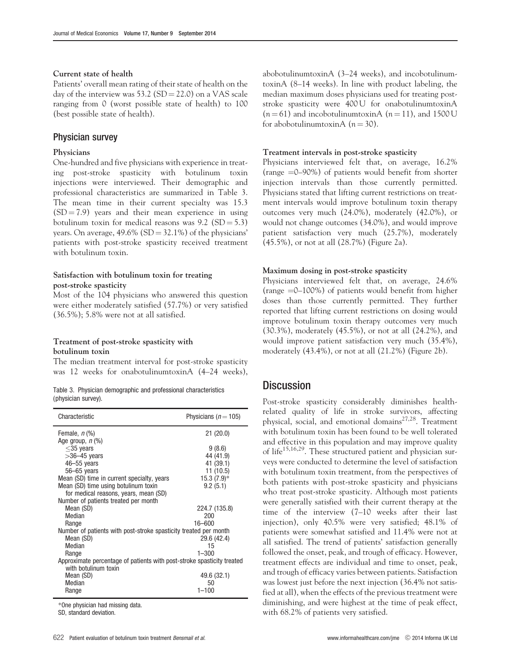#### Current state of health

Patients' overall mean rating of their state of health on the day of the interview was 53.2 (SD = 22.0) on a VAS scale ranging from 0 (worst possible state of health) to 100 (best possible state of health).

#### Physician survey

#### Physicians

One-hundred and five physicians with experience in treating post-stroke spasticity with botulinum toxin injections were interviewed. Their demographic and professional characteristics are summarized in Table 3. The mean time in their current specialty was 15.3  $(SD = 7.9)$  years and their mean experience in using botulinum toxin for medical reasons was  $9.2$  (SD = 5.3) years. On average,  $49.6\%$  (SD =  $32.1\%$ ) of the physicians' patients with post-stroke spasticity received treatment with botulinum toxin.

#### Satisfaction with botulinum toxin for treating post-stroke spasticity

Most of the 104 physicians who answered this question were either moderately satisfied (57.7%) or very satisfied (36.5%); 5.8% were not at all satisfied.

#### Treatment of post-stroke spasticity with botulinum toxin

The median treatment interval for post-stroke spasticity was 12 weeks for onabotulinumtoxinA (4–24 weeks),

|                     |  | Table 3. Physician demographic and professional characteristics |
|---------------------|--|-----------------------------------------------------------------|
| (physician survey). |  |                                                                 |

| Characteristic                                                                                 | Physicians ( $n = 105$ ) |
|------------------------------------------------------------------------------------------------|--------------------------|
| Female, $n$ $\left(\% \right)$                                                                 | 21(20.0)                 |
| Age group, <i>n</i> (%)                                                                        |                          |
| $<$ 35 years                                                                                   | 9(8.6)                   |
| $>36-45$ years                                                                                 | 44 (41.9)                |
| 46-55 years                                                                                    | 41 (39.1)                |
| $56 - 65$ years                                                                                | 11 (10.5)                |
| Mean (SD) time in current specialty, years                                                     | $15.3(7.9)$ *            |
| Mean (SD) time using botulinum toxin                                                           | 9.2(5.1)                 |
| for medical reasons, years, mean (SD)                                                          |                          |
| Number of patients treated per month                                                           |                          |
| Mean (SD)                                                                                      | 224.7 (135.8)            |
| Median                                                                                         | 200                      |
| Range                                                                                          | 16-600                   |
| Number of patients with post-stroke spasticity treated per month                               |                          |
| Mean (SD)                                                                                      | 29.6 (42.4)              |
| Median                                                                                         | 15                       |
| Range                                                                                          | $1 - 300$                |
| Approximate percentage of patients with post-stroke spasticity treated<br>with botulinum toxin |                          |
| Mean (SD)                                                                                      | 49.6 (32.1)              |
| Median                                                                                         | 50                       |
| Range                                                                                          | $1 - 100$                |
|                                                                                                |                          |

\*One physician had missing data.

SD, standard deviation.

abobotulinumtoxinA (3–24 weeks), and incobotulinumtoxinA (8–14 weeks). In line with product labeling, the median maximum doses physicians used for treating poststroke spasticity were 400 U for onabotulinumtoxinA  $(n = 61)$  and incobotulinumtoxinA  $(n = 11)$ , and 1500 U for abobotulinumtoxinA  $(n = 30)$ .

#### Treatment intervals in post-stroke spasticity

Physicians interviewed felt that, on average, 16.2% (range  $=0$ –90%) of patients would benefit from shorter injection intervals than those currently permitted. Physicians stated that lifting current restrictions on treatment intervals would improve botulinum toxin therapy outcomes very much (24.0%), moderately (42.0%), or would not change outcomes (34.0%), and would improve patient satisfaction very much (25.7%), moderately (45.5%), or not at all (28.7%) ([Figure 2a](#page-6-0)).

#### Maximum dosing in post-stroke spasticity

Physicians interviewed felt that, on average, 24.6% (range  $=0$ –100%) of patients would benefit from higher doses than those currently permitted. They further reported that lifting current restrictions on dosing would improve botulinum toxin therapy outcomes very much (30.3%), moderately (45.5%), or not at all (24.2%), and would improve patient satisfaction very much (35.4%), moderately (43.4%), or not at all (21.2%) ([Figure 2b\)](#page-6-0).

# **Discussion**

Post-stroke spasticity considerably diminishes healthrelated quality of life in stroke survivors, affecting physical, social, and emotional domains<sup>27,28</sup>. Treatment with botulinum toxin has been found to be well tolerated and effective in this population and may improve quality of life<sup>[15,16,](#page-7-0)[29](#page-8-0)</sup>. These structured patient and physician surveys were conducted to determine the level of satisfaction with botulinum toxin treatment, from the perspectives of both patients with post-stroke spasticity and physicians who treat post-stroke spasticity. Although most patients were generally satisfied with their current therapy at the time of the interview (7–10 weeks after their last injection), only 40.5% were very satisfied; 48.1% of patients were somewhat satisfied and 11.4% were not at all satisfied. The trend of patients' satisfaction generally followed the onset, peak, and trough of efficacy. However, treatment effects are individual and time to onset, peak, and trough of efficacy varies between patients. Satisfaction was lowest just before the next injection (36.4% not satisfied at all), when the effects of the previous treatment were diminishing, and were highest at the time of peak effect, with 68.2% of patients very satisfied.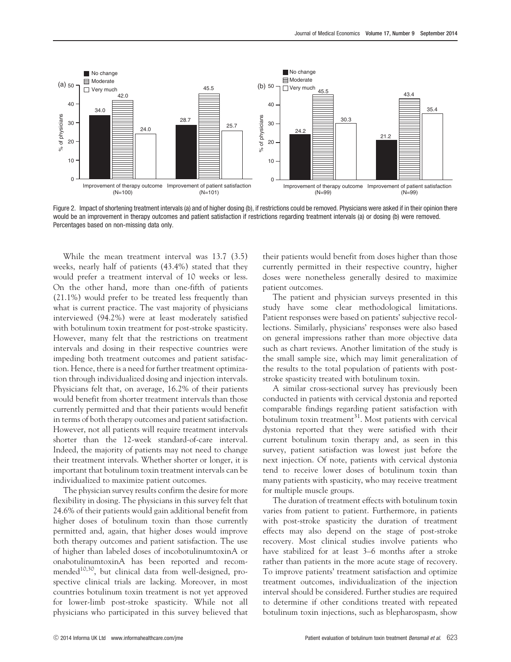<span id="page-6-0"></span>

Figure 2. Impact of shortening treatment intervals (a) and of higher dosing (b), if restrictions could be removed. Physicians were asked if in their opinion there would be an improvement in therapy outcomes and patient satisfaction if restrictions regarding treatment intervals (a) or dosing (b) were removed. Percentages based on non-missing data only.

While the mean treatment interval was 13.7 (3.5) weeks, nearly half of patients (43.4%) stated that they would prefer a treatment interval of 10 weeks or less. On the other hand, more than one-fifth of patients (21.1%) would prefer to be treated less frequently than what is current practice. The vast majority of physicians interviewed (94.2%) were at least moderately satisfied with botulinum toxin treatment for post-stroke spasticity. However, many felt that the restrictions on treatment intervals and dosing in their respective countries were impeding both treatment outcomes and patient satisfaction. Hence, there is a need for further treatment optimization through individualized dosing and injection intervals. Physicians felt that, on average, 16.2% of their patients would benefit from shorter treatment intervals than those currently permitted and that their patients would benefit in terms of both therapy outcomes and patient satisfaction. However, not all patients will require treatment intervals shorter than the 12-week standard-of-care interval. Indeed, the majority of patients may not need to change their treatment intervals. Whether shorter or longer, it is important that botulinum toxin treatment intervals can be individualized to maximize patient outcomes.

The physician survey results confirm the desire for more flexibility in dosing. The physicians in this survey felt that 24.6% of their patients would gain additional benefit from higher doses of botulinum toxin than those currently permitted and, again, that higher doses would improve both therapy outcomes and patient satisfaction. The use of higher than labeled doses of incobotulinumtoxinA or onabotulinumtoxinA has been reported and recom-mended<sup>[10](#page-7-0),30</sup>, but clinical data from well-designed, prospective clinical trials are lacking. Moreover, in most countries botulinum toxin treatment is not yet approved for lower-limb post-stroke spasticity. While not all physicians who participated in this survey believed that their patients would benefit from doses higher than those currently permitted in their respective country, higher doses were nonetheless generally desired to maximize patient outcomes.

The patient and physician surveys presented in this study have some clear methodological limitations. Patient responses were based on patients' subjective recollections. Similarly, physicians' responses were also based on general impressions rather than more objective data such as chart reviews. Another limitation of the study is the small sample size, which may limit generalization of the results to the total population of patients with poststroke spasticity treated with botulinum toxin.

A similar cross-sectional survey has previously been conducted in patients with cervical dystonia and reported comparable findings regarding patient satisfaction with botulinum toxin treatment<sup>31</sup>. Most patients with cervical dystonia reported that they were satisfied with their current botulinum toxin therapy and, as seen in this survey, patient satisfaction was lowest just before the next injection. Of note, patients with cervical dystonia tend to receive lower doses of botulinum toxin than many patients with spasticity, who may receive treatment for multiple muscle groups.

The duration of treatment effects with botulinum toxin varies from patient to patient. Furthermore, in patients with post-stroke spasticity the duration of treatment effects may also depend on the stage of post-stroke recovery. Most clinical studies involve patients who have stabilized for at least 3–6 months after a stroke rather than patients in the more acute stage of recovery. To improve patients' treatment satisfaction and optimize treatment outcomes, individualization of the injection interval should be considered. Further studies are required to determine if other conditions treated with repeated botulinum toxin injections, such as blepharospasm, show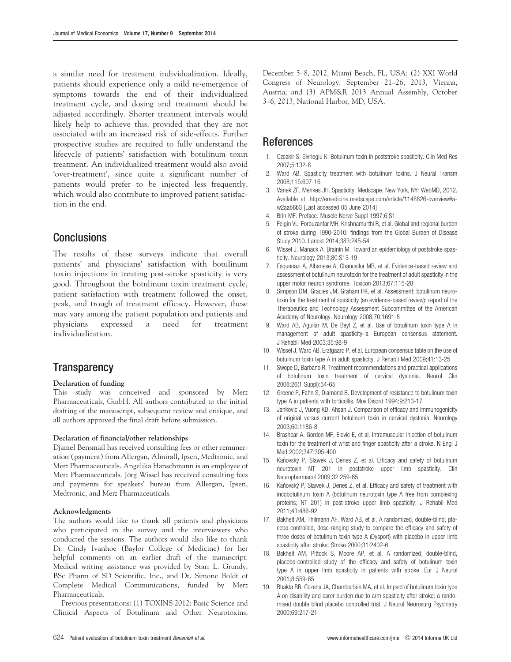<span id="page-7-0"></span>a similar need for treatment individualization. Ideally, patients should experience only a mild re-emergence of symptoms towards the end of their individualized treatment cycle, and dosing and treatment should be adjusted accordingly. Shorter treatment intervals would likely help to achieve this, provided that they are not associated with an increased risk of side-effects. Further prospective studies are required to fully understand the lifecycle of patients' satisfaction with botulinum toxin treatment. An individualized treatment would also avoid 'over-treatment', since quite a significant number of patients would prefer to be injected less frequently, which would also contribute to improved patient satisfaction in the end.

# **Conclusions**

The results of these surveys indicate that overall patients' and physicians' satisfaction with botulinum toxin injections in treating post-stroke spasticity is very good. Throughout the botulinum toxin treatment cycle, patient satisfaction with treatment followed the onset, peak, and trough of treatment efficacy. However, these may vary among the patient population and patients and physicians expressed a need for treatment individualization.

# **Transparency**

#### Declaration of funding

This study was conceived and sponsored by Merz Pharmaceuticals, GmbH. All authors contributed to the initial drafting of the manuscript, subsequent review and critique, and all authors approved the final draft before submission.

#### Declaration of financial/other relationships

Djamel Bensmail has received consulting fees or other remuneration (payment) from Allergan, Almirall, Ipsen, Medtronic, and Merz Pharmaceuticals. Angelika Hanschmann is an employee of Merz Pharmaceuticals. Jörg Wissel has received consulting fees and payments for speakers' bureau from Allergan, Ipsen, Medtronic, and Merz Pharmaceuticals.

#### Acknowledgments

The authors would like to thank all patients and physicians who participated in the survey and the interviewers who conducted the sessions. The authors would also like to thank Dr. Cindy Ivanhoe (Baylor College of Medicine) for her helpful comments on an earlier draft of the manuscript. Medical writing assistance was provided by Starr L. Grundy, BSc Pharm of SD Scientific, Inc., and Dr. Simone Boldt of Complete Medical Communications, funded by Merz Pharmaceuticals.

Previous presentations: (1) TOXINS 2012: Basic Science and Clinical Aspects of Botulinum and Other Neurotoxins, December 5–8, 2012, Miami Beach, FL, USA; (2) XXI World Congress of Neurology, September 21–26, 2013, Vienna, Austria; and (3) APM&R 2013 Annual Assembly, October 3–6, 2013, National Harbor, MD, USA.

## References

- 1. Ozcakir S, Sivrioglu K. Botulinum toxin in poststroke spasticity. Clin Med Res 2007;5:132-8
- 2. Ward AB. Spasticity treatment with botulinum toxins. J Neural Transm 2008;115:607-16
- 3. Vanek ZF, Menkes JH. Spasticity. Medscape. New York, NY: WebMD, 2012. Available at: http://emedicine.medscape.com/article/1148826-overview#aw2aab6b3 [Last accessed 05 June 2014]
- 4. Brin MF. Preface. Muscle Nerve Suppl 1997;6:S1
- 5. Feigin VL, Forouzanfar MH, Krishnamurthi R, et al. Global and regional burden of stroke during 1990-2010: findings from the Global Burden of Disease Study 2010. Lancet 2014;383:245-54
- Wissel J, Manack A, Brainin M. Toward an epidemiology of poststroke spasticity. Neurology 2013;80:S13-19
- 7. Esquenazi A, Albanese A, Chancellor MB, et al. Evidence-based review and assessment of botulinum neurotoxin for the treatment of adult spasticity in the upper motor neuron syndrome. Toxicon 2013;67:115-28
- 8. Simpson DM, Gracies JM, Graham HK, et al. Assessment: botulinum neurotoxin for the treatment of spasticity (an evidence-based review): report of the Therapeutics and Technology Assessment Subcommittee of the American Academy of Neurology. Neurology 2008;70:1691-8
- 9. Ward AB, Aguilar M, De Beyl Z, et al. Use of botulinum toxin type A in management of adult spasticity–a European consensus statement. J Rehabil Med 2003;35:98-9
- 10. Wissel J, Ward AB, Erztgaard P, et al. European consensus table on the use of botulinum toxin type A in adult spasticity. J Rehabil Med 2009;41:13-25
- 11. Swope D, Barbano R. Treatment recommendations and practical applications of botulinum toxin treatment of cervical dystonia. Neurol Clin 2008;26(1 Suppl):54-65
- 12. Greene P, Fahn S, Diamond B. Development of resistance to botulinum toxin type A in patients with torticollis. Mov Disord 1994;9:213-17
- 13. Jankovic J, Vuong KD, Ahsan J. Comparison of efficacy and immunogenicity of original versus current botulinum toxin in cervical dystonia. Neurology 2003;60:1186-8
- 14. Brashear A, Gordon MF, Elovic E, et al. Intramuscular injection of botulinum toxin for the treatment of wrist and finger spasticity after a stroke. N Engl J Med 2002;347:395-400
- 15. Kaňovský P, Slawek J, Denes Z, et al. Efficacy and safety of botulinum neurotoxin NT 201 in poststroke upper limb spasticity. Clin Neuropharmacol 2009;32:259-65
- 16. Kaňovský P, Slawek J, Denes Z, et al. Efficacy and safety of treatment with incobotulinum toxin A (botulinum neurotoxin type A free from complexing proteins; NT 201) in post-stroke upper limb spasticity. J Rehabil Med 2011;43:486-92
- 17. Bakheit AM, Thilmann AF, Ward AB, et al. A randomized, double-blind, placebo-controlled, dose-ranging study to compare the efficacy and safety of three doses of botulinum toxin type A (Dysport) with placebo in upper limb spasticity after stroke. Stroke 2000;31:2402-6
- 18. Bakheit AM, Pittock S, Moore AP, et al. A randomized, double-blind, placebo-controlled study of the efficacy and safety of botulinum toxin type A in upper limb spasticity in patients with stroke. Eur J Neurol 2001;8:559-65
- 19. Bhakta BB, Cozens JA, Chamberlain MA, et al. Impact of botulinum toxin type A on disability and carer burden due to arm spasticity after stroke: a randomised double blind placebo controlled trial. J Neurol Neurosurg Psychiatry 2000;69:217-21